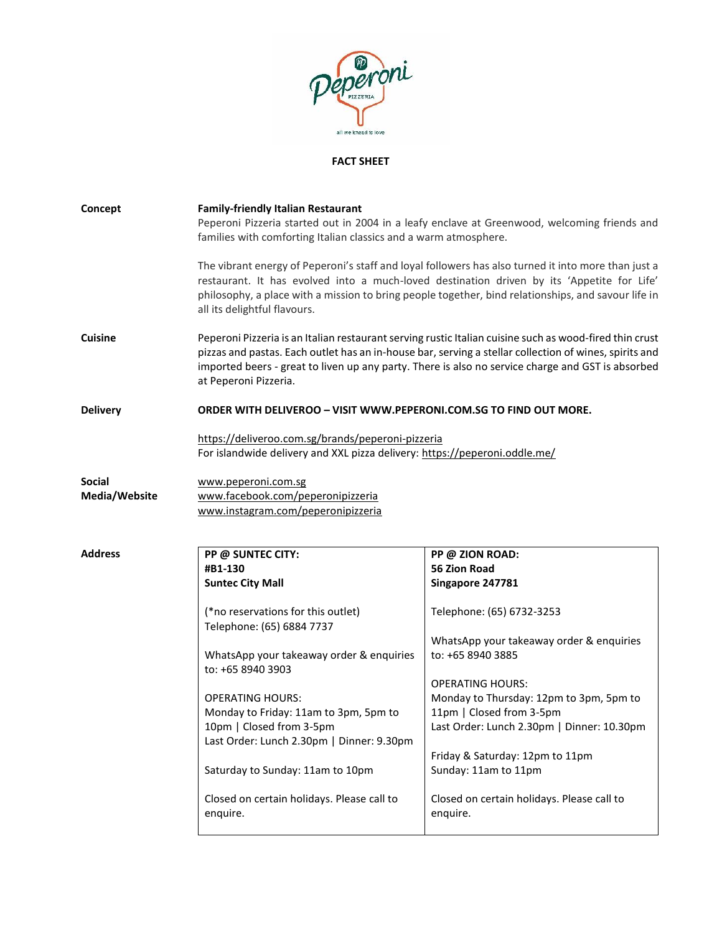

## **FACT SHEET**

| Concept                        | <b>Family-friendly Italian Restaurant</b><br>families with comforting Italian classics and a warm atmosphere.                   | Peperoni Pizzeria started out in 2004 in a leafy enclave at Greenwood, welcoming friends and                                                                                                                                                                                                                           |
|--------------------------------|---------------------------------------------------------------------------------------------------------------------------------|------------------------------------------------------------------------------------------------------------------------------------------------------------------------------------------------------------------------------------------------------------------------------------------------------------------------|
|                                | all its delightful flavours.                                                                                                    | The vibrant energy of Peperoni's staff and loyal followers has also turned it into more than just a<br>restaurant. It has evolved into a much-loved destination driven by its 'Appetite for Life'<br>philosophy, a place with a mission to bring people together, bind relationships, and savour life in               |
| <b>Cuisine</b>                 | at Peperoni Pizzeria.                                                                                                           | Peperoni Pizzeria is an Italian restaurant serving rustic Italian cuisine such as wood-fired thin crust<br>pizzas and pastas. Each outlet has an in-house bar, serving a stellar collection of wines, spirits and<br>imported beers - great to liven up any party. There is also no service charge and GST is absorbed |
| <b>Delivery</b>                | <b>ORDER WITH DELIVEROO - VISIT WWW.PEPERONI.COM.SG TO FIND OUT MORE.</b>                                                       |                                                                                                                                                                                                                                                                                                                        |
|                                | https://deliveroo.com.sg/brands/peperoni-pizzeria<br>For islandwide delivery and XXL pizza delivery: https://peperoni.oddle.me/ |                                                                                                                                                                                                                                                                                                                        |
| <b>Social</b><br>Media/Website | www.peperoni.com.sg<br>www.facebook.com/peperonipizzeria<br>www.instagram.com/peperonipizzeria                                  |                                                                                                                                                                                                                                                                                                                        |
| <b>Address</b>                 | PP @ SUNTEC CITY:                                                                                                               | PP @ ZION ROAD:                                                                                                                                                                                                                                                                                                        |
|                                | #B1-130                                                                                                                         | <b>56 Zion Road</b>                                                                                                                                                                                                                                                                                                    |
|                                | <b>Suntec City Mall</b>                                                                                                         | Singapore 247781                                                                                                                                                                                                                                                                                                       |
|                                | (*no reservations for this outlet)<br>Telephone: (65) 6884 7737                                                                 | Telephone: (65) 6732-3253                                                                                                                                                                                                                                                                                              |
|                                | WhatsApp your takeaway order & enquiries<br>to: +65 8940 3903                                                                   | WhatsApp your takeaway order & enquiries<br>to: +65 8940 3885                                                                                                                                                                                                                                                          |
|                                |                                                                                                                                 | <b>OPERATING HOURS:</b>                                                                                                                                                                                                                                                                                                |
|                                | <b>OPERATING HOURS:</b>                                                                                                         | Monday to Thursday: 12pm to 3pm, 5pm to                                                                                                                                                                                                                                                                                |
|                                | Monday to Friday: 11am to 3pm, 5pm to                                                                                           | 11pm   Closed from 3-5pm                                                                                                                                                                                                                                                                                               |
|                                | 10pm   Closed from 3-5pm<br>Last Order: Lunch 2.30pm   Dinner: 9.30pm                                                           | Last Order: Lunch 2.30pm   Dinner: 10.30pm                                                                                                                                                                                                                                                                             |
|                                | Saturday to Sunday: 11am to 10pm                                                                                                | Friday & Saturday: 12pm to 11pm<br>Sunday: 11am to 11pm                                                                                                                                                                                                                                                                |
|                                | Closed on certain holidays. Please call to<br>enquire.                                                                          | Closed on certain holidays. Please call to<br>enquire.                                                                                                                                                                                                                                                                 |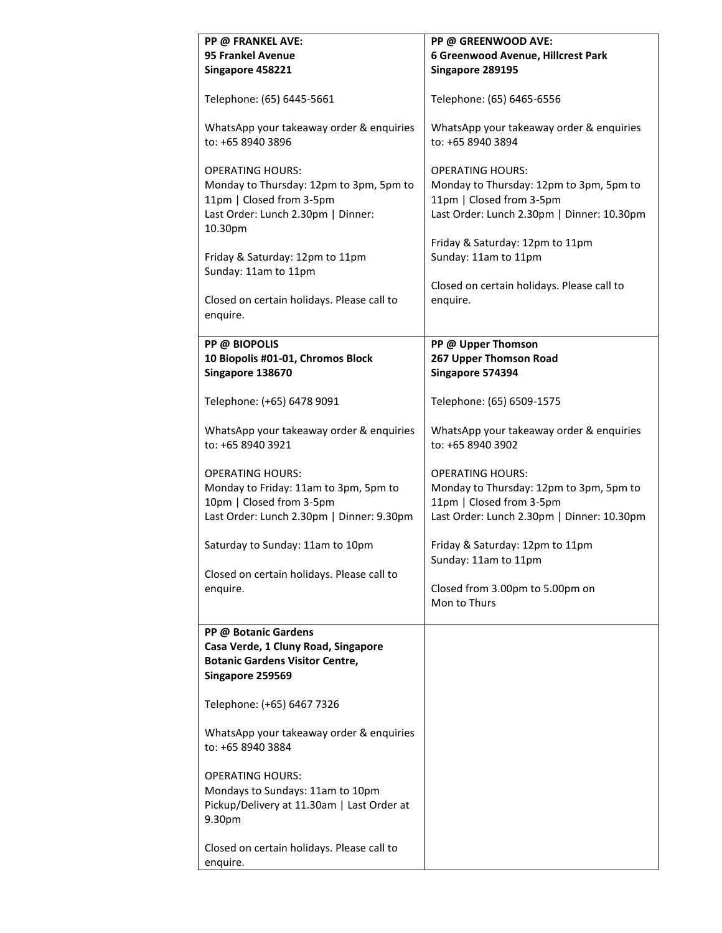| PP @ FRANKEL AVE:<br><b>95 Frankel Avenue</b><br>Singapore 458221                                                                               | PP @ GREENWOOD AVE:<br>6 Greenwood Avenue, Hillcrest Park<br>Singapore 289195                                                                                                   |
|-------------------------------------------------------------------------------------------------------------------------------------------------|---------------------------------------------------------------------------------------------------------------------------------------------------------------------------------|
| Telephone: (65) 6445-5661                                                                                                                       | Telephone: (65) 6465-6556                                                                                                                                                       |
| WhatsApp your takeaway order & enquiries<br>to: +65 8940 3896                                                                                   | WhatsApp your takeaway order & enquiries<br>to: +65 8940 3894                                                                                                                   |
| <b>OPERATING HOURS:</b><br>Monday to Thursday: 12pm to 3pm, 5pm to<br>11pm   Closed from 3-5pm<br>Last Order: Lunch 2.30pm   Dinner:<br>10.30pm | <b>OPERATING HOURS:</b><br>Monday to Thursday: 12pm to 3pm, 5pm to<br>11pm   Closed from 3-5pm<br>Last Order: Lunch 2.30pm   Dinner: 10.30pm<br>Friday & Saturday: 12pm to 11pm |
| Friday & Saturday: 12pm to 11pm<br>Sunday: 11am to 11pm                                                                                         | Sunday: 11am to 11pm                                                                                                                                                            |
| Closed on certain holidays. Please call to<br>enquire.                                                                                          | Closed on certain holidays. Please call to<br>enquire.                                                                                                                          |
| <b>PP @ BIOPOLIS</b><br>10 Biopolis #01-01, Chromos Block<br>Singapore 138670                                                                   | PP @ Upper Thomson<br>267 Upper Thomson Road<br>Singapore 574394                                                                                                                |
| Telephone: (+65) 6478 9091                                                                                                                      | Telephone: (65) 6509-1575                                                                                                                                                       |
| WhatsApp your takeaway order & enquiries<br>to: +65 8940 3921                                                                                   | WhatsApp your takeaway order & enquiries<br>to: +65 8940 3902                                                                                                                   |
| <b>OPERATING HOURS:</b><br>Monday to Friday: 11am to 3pm, 5pm to<br>10pm   Closed from 3-5pm<br>Last Order: Lunch 2.30pm   Dinner: 9.30pm       | <b>OPERATING HOURS:</b><br>Monday to Thursday: 12pm to 3pm, 5pm to<br>11pm   Closed from 3-5pm<br>Last Order: Lunch 2.30pm   Dinner: 10.30pm                                    |
| Saturday to Sunday: 11am to 10pm                                                                                                                | Friday & Saturday: 12pm to 11pm<br>Sunday: 11am to 11pm                                                                                                                         |
| Closed on certain holidays. Please call to<br>enquire.                                                                                          | Closed from 3.00pm to 5.00pm on<br>Mon to Thurs                                                                                                                                 |
| PP @ Botanic Gardens<br>Casa Verde, 1 Cluny Road, Singapore<br><b>Botanic Gardens Visitor Centre,</b><br>Singapore 259569                       |                                                                                                                                                                                 |
| Telephone: (+65) 6467 7326                                                                                                                      |                                                                                                                                                                                 |
| WhatsApp your takeaway order & enquiries<br>to: +65 8940 3884                                                                                   |                                                                                                                                                                                 |
| <b>OPERATING HOURS:</b><br>Mondays to Sundays: 11am to 10pm<br>Pickup/Delivery at 11.30am   Last Order at<br>9.30pm                             |                                                                                                                                                                                 |
| Closed on certain holidays. Please call to<br>enquire.                                                                                          |                                                                                                                                                                                 |